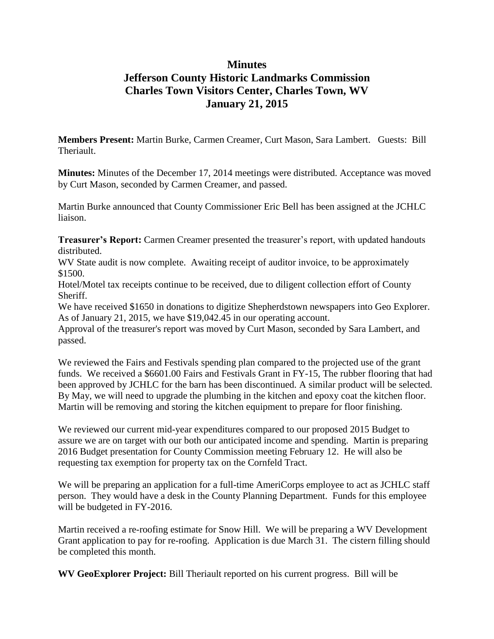## **Minutes Jefferson County Historic Landmarks Commission Charles Town Visitors Center, Charles Town, WV January 21, 2015**

**Members Present:** Martin Burke, Carmen Creamer, Curt Mason, Sara Lambert. Guests: Bill Theriault.

**Minutes:** Minutes of the December 17, 2014 meetings were distributed. Acceptance was moved by Curt Mason, seconded by Carmen Creamer, and passed.

Martin Burke announced that County Commissioner Eric Bell has been assigned at the JCHLC liaison.

**Treasurer's Report:** Carmen Creamer presented the treasurer's report, with updated handouts distributed.

WV State audit is now complete. Awaiting receipt of auditor invoice, to be approximately \$1500.

Hotel/Motel tax receipts continue to be received, due to diligent collection effort of County Sheriff.

We have received \$1650 in donations to digitize Shepherdstown newspapers into Geo Explorer. As of January 21, 2015, we have \$19,042.45 in our operating account.

Approval of the treasurer's report was moved by Curt Mason, seconded by Sara Lambert, and passed.

We reviewed the Fairs and Festivals spending plan compared to the projected use of the grant funds. We received a \$6601.00 Fairs and Festivals Grant in FY-15, The rubber flooring that had been approved by JCHLC for the barn has been discontinued. A similar product will be selected. By May, we will need to upgrade the plumbing in the kitchen and epoxy coat the kitchen floor. Martin will be removing and storing the kitchen equipment to prepare for floor finishing.

We reviewed our current mid-year expenditures compared to our proposed 2015 Budget to assure we are on target with our both our anticipated income and spending. Martin is preparing 2016 Budget presentation for County Commission meeting February 12. He will also be requesting tax exemption for property tax on the Cornfeld Tract.

We will be preparing an application for a full-time AmeriCorps employee to act as JCHLC staff person. They would have a desk in the County Planning Department. Funds for this employee will be budgeted in FY-2016.

Martin received a re-roofing estimate for Snow Hill. We will be preparing a WV Development Grant application to pay for re-roofing. Application is due March 31. The cistern filling should be completed this month.

**WV GeoExplorer Project:** Bill Theriault reported on his current progress. Bill will be